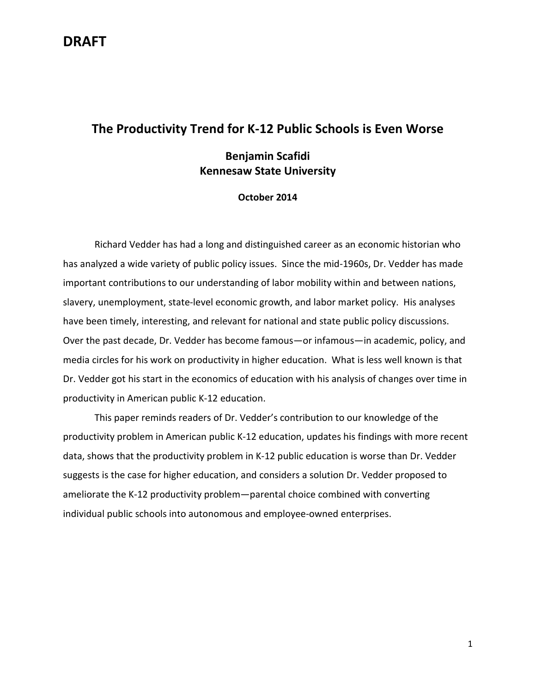#### **The Productivity Trend for K-12 Public Schools is Even Worse**

#### **Benjamin Scafidi Kennesaw State University**

#### **October 2014**

Richard Vedder has had a long and distinguished career as an economic historian who has analyzed a wide variety of public policy issues. Since the mid-1960s, Dr. Vedder has made important contributions to our understanding of labor mobility within and between nations, slavery, unemployment, state-level economic growth, and labor market policy. His analyses have been timely, interesting, and relevant for national and state public policy discussions. Over the past decade, Dr. Vedder has become famous—or infamous—in academic, policy, and media circles for his work on productivity in higher education. What is less well known is that Dr. Vedder got his start in the economics of education with his analysis of changes over time in productivity in American public K-12 education.

This paper reminds readers of Dr. Vedder's contribution to our knowledge of the productivity problem in American public K-12 education, updates his findings with more recent data, shows that the productivity problem in K-12 public education is worse than Dr. Vedder suggests is the case for higher education, and considers a solution Dr. Vedder proposed to ameliorate the K-12 productivity problem—parental choice combined with converting individual public schools into autonomous and employee-owned enterprises.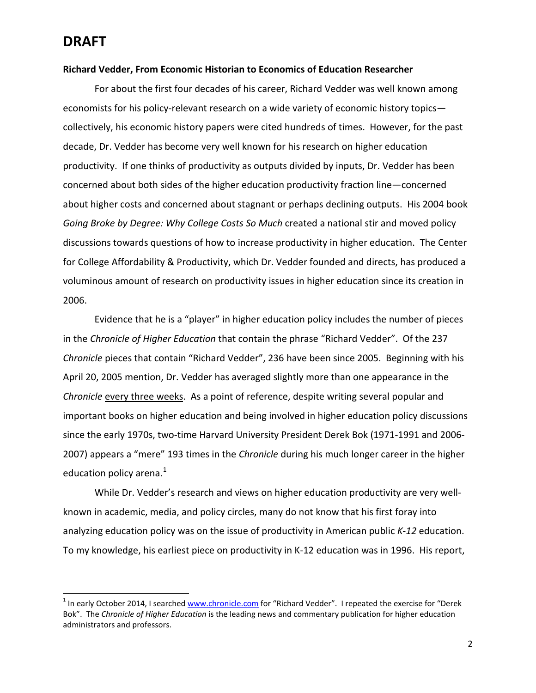#### **Richard Vedder, From Economic Historian to Economics of Education Researcher**

For about the first four decades of his career, Richard Vedder was well known among economists for his policy-relevant research on a wide variety of economic history topics collectively, his economic history papers were cited hundreds of times. However, for the past decade, Dr. Vedder has become very well known for his research on higher education productivity. If one thinks of productivity as outputs divided by inputs, Dr. Vedder has been concerned about both sides of the higher education productivity fraction line—concerned about higher costs and concerned about stagnant or perhaps declining outputs. His 2004 book *Going Broke by Degree: Why College Costs So Much* created a national stir and moved policy discussions towards questions of how to increase productivity in higher education. The Center for College Affordability & Productivity, which Dr. Vedder founded and directs, has produced a voluminous amount of research on productivity issues in higher education since its creation in 2006.

Evidence that he is a "player" in higher education policy includes the number of pieces in the *Chronicle of Higher Education* that contain the phrase "Richard Vedder". Of the 237 *Chronicle* pieces that contain "Richard Vedder", 236 have been since 2005. Beginning with his April 20, 2005 mention, Dr. Vedder has averaged slightly more than one appearance in the *Chronicle* every three weeks. As a point of reference, despite writing several popular and important books on higher education and being involved in higher education policy discussions since the early 1970s, two-time Harvard University President Derek Bok (1971-1991 and 2006- 2007) appears a "mere" 193 times in the *Chronicle* during his much longer career in the higher education policy arena.<sup>[1](#page-1-0)</sup>

While Dr. Vedder's research and views on higher education productivity are very wellknown in academic, media, and policy circles, many do not know that his first foray into analyzing education policy was on the issue of productivity in American public *K-12* education. To my knowledge, his earliest piece on productivity in K-12 education was in 1996. His report,

<span id="page-1-0"></span> $1$  In early October 2014, I searched [www.chronicle.com](http://www.chronicle.com/) for "Richard Vedder". I repeated the exercise for "Derek Bok". The *Chronicle of Higher Education* is the leading news and commentary publication for higher education administrators and professors.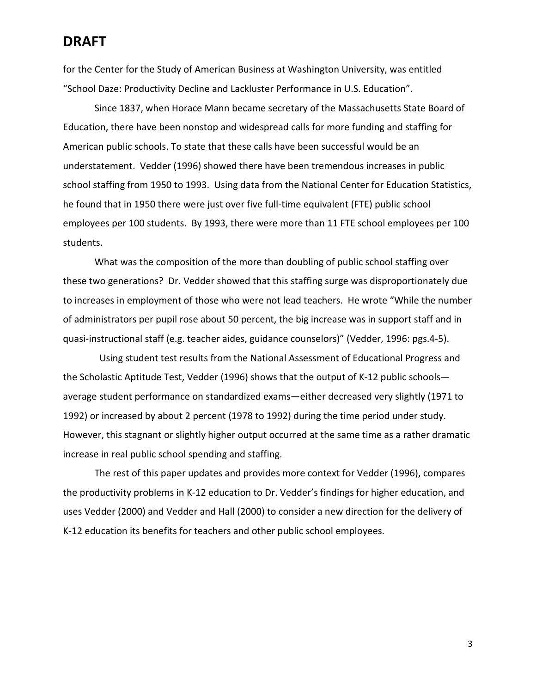for the Center for the Study of American Business at Washington University, was entitled "School Daze: Productivity Decline and Lackluster Performance in U.S. Education".

Since 1837, when Horace Mann became secretary of the Massachusetts State Board of Education, there have been nonstop and widespread calls for more funding and staffing for American public schools. To state that these calls have been successful would be an understatement. Vedder (1996) showed there have been tremendous increases in public school staffing from 1950 to 1993. Using data from the National Center for Education Statistics, he found that in 1950 there were just over five full-time equivalent (FTE) public school employees per 100 students. By 1993, there were more than 11 FTE school employees per 100 students.

What was the composition of the more than doubling of public school staffing over these two generations? Dr. Vedder showed that this staffing surge was disproportionately due to increases in employment of those who were not lead teachers. He wrote "While the number of administrators per pupil rose about 50 percent, the big increase was in support staff and in quasi-instructional staff (e.g. teacher aides, guidance counselors)" (Vedder, 1996: pgs.4-5).

 Using student test results from the National Assessment of Educational Progress and the Scholastic Aptitude Test, Vedder (1996) shows that the output of K-12 public schools average student performance on standardized exams—either decreased very slightly (1971 to 1992) or increased by about 2 percent (1978 to 1992) during the time period under study. However, this stagnant or slightly higher output occurred at the same time as a rather dramatic increase in real public school spending and staffing.

The rest of this paper updates and provides more context for Vedder (1996), compares the productivity problems in K-12 education to Dr. Vedder's findings for higher education, and uses Vedder (2000) and Vedder and Hall (2000) to consider a new direction for the delivery of K-12 education its benefits for teachers and other public school employees.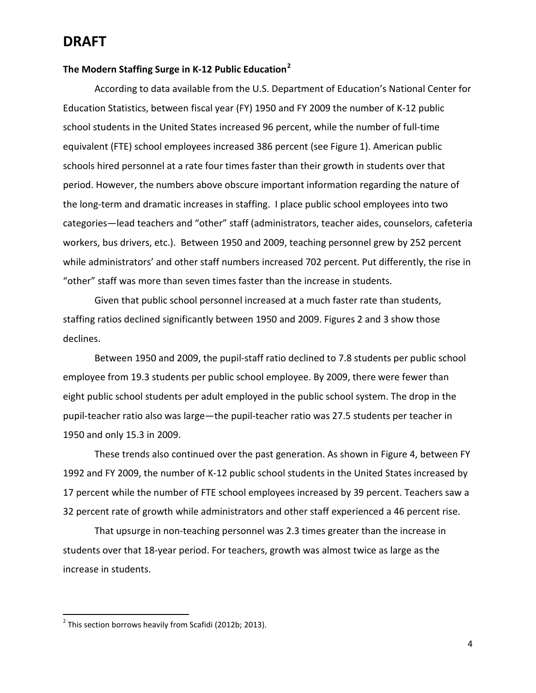#### **The Modern Staffing Surge in K-12 Public Education[2](#page-3-0)**

According to data available from the U.S. Department of Education's National Center for Education Statistics, between fiscal year (FY) 1950 and FY 2009 the number of K-12 public school students in the United States increased 96 percent, while the number of full-time equivalent (FTE) school employees increased 386 percent (see Figure 1). American public schools hired personnel at a rate four times faster than their growth in students over that period. However, the numbers above obscure important information regarding the nature of the long-term and dramatic increases in staffing. I place public school employees into two categories—lead teachers and "other" staff (administrators, teacher aides, counselors, cafeteria workers, bus drivers, etc.). Between 1950 and 2009, teaching personnel grew by 252 percent while administrators' and other staff numbers increased 702 percent. Put differently, the rise in "other" staff was more than seven times faster than the increase in students.

Given that public school personnel increased at a much faster rate than students, staffing ratios declined significantly between 1950 and 2009. Figures 2 and 3 show those declines.

Between 1950 and 2009, the pupil-staff ratio declined to 7.8 students per public school employee from 19.3 students per public school employee. By 2009, there were fewer than eight public school students per adult employed in the public school system. The drop in the pupil-teacher ratio also was large—the pupil-teacher ratio was 27.5 students per teacher in 1950 and only 15.3 in 2009.

These trends also continued over the past generation. As shown in Figure 4, between FY 1992 and FY 2009, the number of K-12 public school students in the United States increased by 17 percent while the number of FTE school employees increased by 39 percent. Teachers saw a 32 percent rate of growth while administrators and other staff experienced a 46 percent rise.

That upsurge in non-teaching personnel was 2.3 times greater than the increase in students over that 18-year period. For teachers, growth was almost twice as large as the increase in students.

<span id="page-3-0"></span> $2$  This section borrows heavily from Scafidi (2012b; 2013).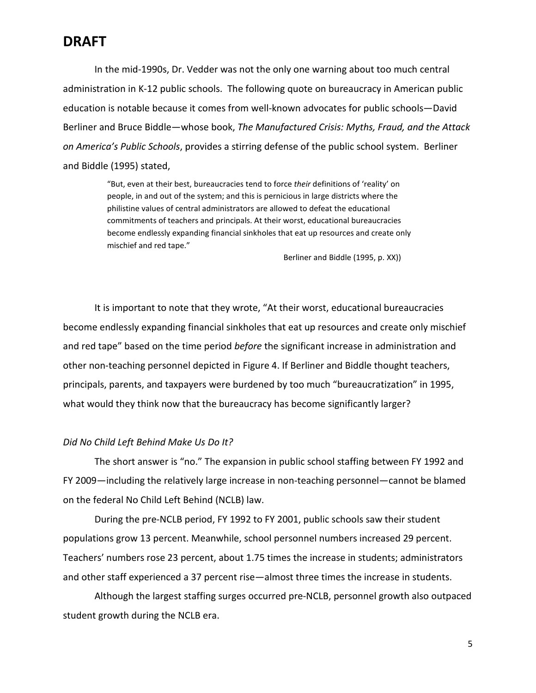In the mid-1990s, Dr. Vedder was not the only one warning about too much central administration in K-12 public schools. The following quote on bureaucracy in American public education is notable because it comes from well-known advocates for public schools—David Berliner and Bruce Biddle—whose book, *The Manufactured Crisis: Myths, Fraud, and the Attack on America's Public Schools*, provides a stirring defense of the public school system. Berliner and Biddle (1995) stated,

> "But, even at their best, bureaucracies tend to force *their* definitions of 'reality' on people, in and out of the system; and this is pernicious in large districts where the philistine values of central administrators are allowed to defeat the educational commitments of teachers and principals. At their worst, educational bureaucracies become endlessly expanding financial sinkholes that eat up resources and create only mischief and red tape."

> > Berliner and Biddle (1995, p. XX))

It is important to note that they wrote, "At their worst, educational bureaucracies become endlessly expanding financial sinkholes that eat up resources and create only mischief and red tape" based on the time period *before* the significant increase in administration and other non-teaching personnel depicted in Figure 4. If Berliner and Biddle thought teachers, principals, parents, and taxpayers were burdened by too much "bureaucratization" in 1995, what would they think now that the bureaucracy has become significantly larger?

#### *Did No Child Left Behind Make Us Do It?*

The short answer is "no." The expansion in public school staffing between FY 1992 and FY 2009—including the relatively large increase in non-teaching personnel—cannot be blamed on the federal No Child Left Behind (NCLB) law.

During the pre-NCLB period, FY 1992 to FY 2001, public schools saw their student populations grow 13 percent. Meanwhile, school personnel numbers increased 29 percent. Teachers' numbers rose 23 percent, about 1.75 times the increase in students; administrators and other staff experienced a 37 percent rise—almost three times the increase in students.

Although the largest staffing surges occurred pre-NCLB, personnel growth also outpaced student growth during the NCLB era.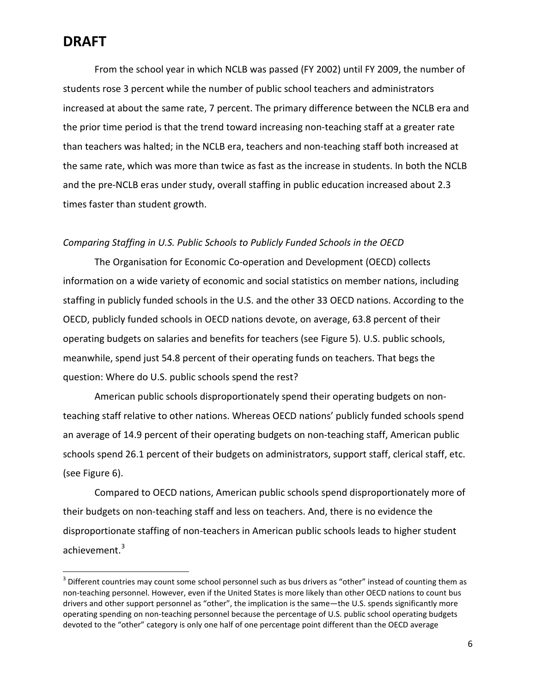From the school year in which NCLB was passed (FY 2002) until FY 2009, the number of students rose 3 percent while the number of public school teachers and administrators increased at about the same rate, 7 percent. The primary difference between the NCLB era and the prior time period is that the trend toward increasing non-teaching staff at a greater rate than teachers was halted; in the NCLB era, teachers and non-teaching staff both increased at the same rate, which was more than twice as fast as the increase in students. In both the NCLB and the pre-NCLB eras under study, overall staffing in public education increased about 2.3 times faster than student growth.

#### *Comparing Staffing in U.S. Public Schools to Publicly Funded Schools in the OECD*

The Organisation for Economic Co-operation and Development (OECD) collects information on a wide variety of economic and social statistics on member nations, including staffing in publicly funded schools in the U.S. and the other 33 OECD nations. According to the OECD, publicly funded schools in OECD nations devote, on average, 63.8 percent of their operating budgets on salaries and benefits for teachers (see Figure 5). U.S. public schools, meanwhile, spend just 54.8 percent of their operating funds on teachers. That begs the question: Where do U.S. public schools spend the rest?

American public schools disproportionately spend their operating budgets on nonteaching staff relative to other nations. Whereas OECD nations' publicly funded schools spend an average of 14.9 percent of their operating budgets on non-teaching staff, American public schools spend 26.1 percent of their budgets on administrators, support staff, clerical staff, etc. (see Figure 6).

Compared to OECD nations, American public schools spend disproportionately more of their budgets on non-teaching staff and less on teachers. And, there is no evidence the disproportionate staffing of non-teachers in American public schools leads to higher student achievement.<sup>[3](#page-5-0)</sup>

<span id="page-5-0"></span> $3$  Different countries may count some school personnel such as bus drivers as "other" instead of counting them as non-teaching personnel. However, even if the United States is more likely than other OECD nations to count bus drivers and other support personnel as "other", the implication is the same—the U.S. spends significantly more operating spending on non-teaching personnel because the percentage of U.S. public school operating budgets devoted to the "other" category is only one half of one percentage point different than the OECD average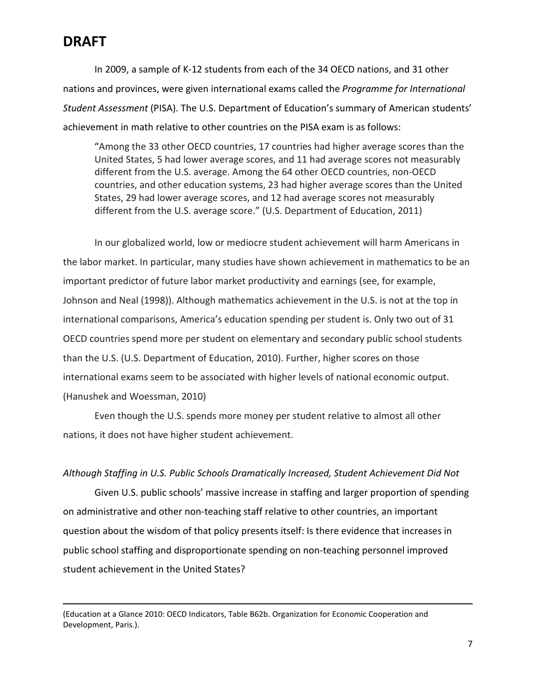$\overline{\phantom{a}}$ 

In 2009, a sample of K-12 students from each of the 34 OECD nations, and 31 other nations and provinces, were given international exams called the *Programme for International Student Assessment* (PISA). The U.S. Department of Education's summary of American students' achievement in math relative to other countries on the PISA exam is as follows:

"Among the 33 other OECD countries, 17 countries had higher average scores than the United States, 5 had lower average scores, and 11 had average scores not measurably different from the U.S. average. Among the 64 other OECD countries, non-OECD countries, and other education systems, 23 had higher average scores than the United States, 29 had lower average scores, and 12 had average scores not measurably different from the U.S. average score." (U.S. Department of Education, 2011)

In our globalized world, low or mediocre student achievement will harm Americans in the labor market. In particular, many studies have shown achievement in mathematics to be an important predictor of future labor market productivity and earnings (see, for example, Johnson and Neal (1998)). Although mathematics achievement in the U.S. is not at the top in international comparisons, America's education spending per student is. Only two out of 31 OECD countries spend more per student on elementary and secondary public school students than the U.S. (U.S. Department of Education, 2010). Further, higher scores on those international exams seem to be associated with higher levels of national economic output. (Hanushek and Woessman, 2010)

Even though the U.S. spends more money per student relative to almost all other nations, it does not have higher student achievement.

#### *Although Staffing in U.S. Public Schools Dramatically Increased, Student Achievement Did Not*

Given U.S. public schools' massive increase in staffing and larger proportion of spending on administrative and other non-teaching staff relative to other countries, an important question about the wisdom of that policy presents itself: Is there evidence that increases in public school staffing and disproportionate spending on non-teaching personnel improved student achievement in the United States?

<sup>(</sup>Education at a Glance 2010: OECD Indicators, Table B62b. Organization for Economic Cooperation and Development, Paris.).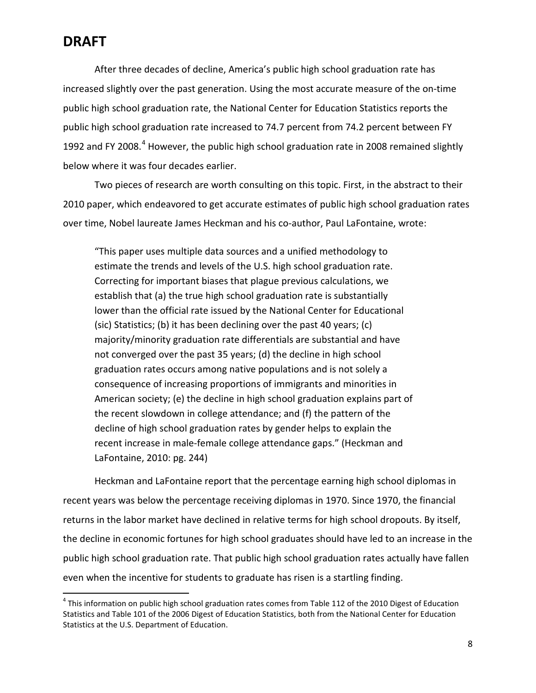After three decades of decline, America's public high school graduation rate has increased slightly over the past generation. Using the most accurate measure of the on-time public high school graduation rate, the National Center for Education Statistics reports the public high school graduation rate increased to 74.7 percent from 74.2 percent between FY 1992 and FY 2008.<sup>[4](#page-7-0)</sup> However, the public high school graduation rate in 2008 remained slightly below where it was four decades earlier.

Two pieces of research are worth consulting on this topic. First, in the abstract to their 2010 paper, which endeavored to get accurate estimates of public high school graduation rates over time, Nobel laureate James Heckman and his co-author, Paul LaFontaine, wrote:

"This paper uses multiple data sources and a unified methodology to estimate the trends and levels of the U.S. high school graduation rate. Correcting for important biases that plague previous calculations, we establish that (a) the true high school graduation rate is substantially lower than the official rate issued by the National Center for Educational (sic) Statistics; (b) it has been declining over the past 40 years; (c) majority/minority graduation rate differentials are substantial and have not converged over the past 35 years; (d) the decline in high school graduation rates occurs among native populations and is not solely a consequence of increasing proportions of immigrants and minorities in American society; (e) the decline in high school graduation explains part of the recent slowdown in college attendance; and (f) the pattern of the decline of high school graduation rates by gender helps to explain the recent increase in male-female college attendance gaps." (Heckman and LaFontaine, 2010: pg. 244)

Heckman and LaFontaine report that the percentage earning high school diplomas in recent years was below the percentage receiving diplomas in 1970. Since 1970, the financial returns in the labor market have declined in relative terms for high school dropouts. By itself, the decline in economic fortunes for high school graduates should have led to an increase in the public high school graduation rate. That public high school graduation rates actually have fallen even when the incentive for students to graduate has risen is a startling finding.

<span id="page-7-0"></span> $<sup>4</sup>$  This information on public high school graduation rates comes from Table 112 of the 2010 Digest of Education</sup> Statistics and Table 101 of the 2006 Digest of Education Statistics, both from the National Center for Education Statistics at the U.S. Department of Education.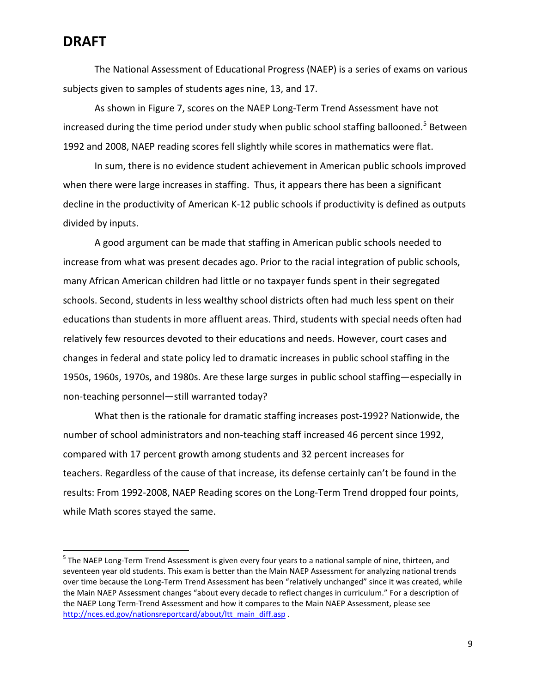The National Assessment of Educational Progress (NAEP) is a series of exams on various subjects given to samples of students ages nine, 13, and 17.

As shown in Figure 7, scores on the NAEP Long-Term Trend Assessment have not increased during the time period under study when public school staffing ballooned.<sup>[5](#page-8-0)</sup> Between 1992 and 2008, NAEP reading scores fell slightly while scores in mathematics were flat.

In sum, there is no evidence student achievement in American public schools improved when there were large increases in staffing. Thus, it appears there has been a significant decline in the productivity of American K-12 public schools if productivity is defined as outputs divided by inputs.

A good argument can be made that staffing in American public schools needed to increase from what was present decades ago. Prior to the racial integration of public schools, many African American children had little or no taxpayer funds spent in their segregated schools. Second, students in less wealthy school districts often had much less spent on their educations than students in more affluent areas. Third, students with special needs often had relatively few resources devoted to their educations and needs. However, court cases and changes in federal and state policy led to dramatic increases in public school staffing in the 1950s, 1960s, 1970s, and 1980s. Are these large surges in public school staffing—especially in non-teaching personnel—still warranted today?

What then is the rationale for dramatic staffing increases post-1992? Nationwide, the number of school administrators and non-teaching staff increased 46 percent since 1992, compared with 17 percent growth among students and 32 percent increases for teachers. Regardless of the cause of that increase, its defense certainly can't be found in the results: From 1992-2008, NAEP Reading scores on the Long-Term Trend dropped four points, while Math scores stayed the same.

<span id="page-8-0"></span><sup>&</sup>lt;sup>5</sup> The NAEP Long-Term Trend Assessment is given every four years to a national sample of nine, thirteen, and seventeen year old students. This exam is better than the Main NAEP Assessment for analyzing national trends over time because the Long-Term Trend Assessment has been "relatively unchanged" since it was created, while the Main NAEP Assessment changes "about every decade to reflect changes in curriculum." For a description of the NAEP Long Term-Trend Assessment and how it compares to the Main NAEP Assessment, please see [http://nces.ed.gov/nationsreportcard/about/ltt\\_main\\_diff.asp](http://nces.ed.gov/nationsreportcard/about/ltt_main_diff.asp) .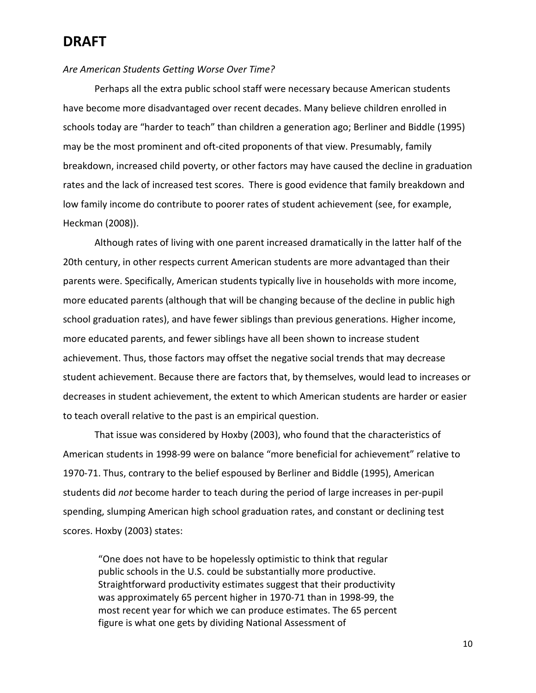#### *Are American Students Getting Worse Over Time?*

Perhaps all the extra public school staff were necessary because American students have become more disadvantaged over recent decades. Many believe children enrolled in schools today are "harder to teach" than children a generation ago; Berliner and Biddle (1995) may be the most prominent and oft-cited proponents of that view. Presumably, family breakdown, increased child poverty, or other factors may have caused the decline in graduation rates and the lack of increased test scores. There is good evidence that family breakdown and low family income do contribute to poorer rates of student achievement (see, for example, Heckman (2008)).

Although rates of living with one parent increased dramatically in the latter half of the 20th century, in other respects current American students are more advantaged than their parents were. Specifically, American students typically live in households with more income, more educated parents (although that will be changing because of the decline in public high school graduation rates), and have fewer siblings than previous generations. Higher income, more educated parents, and fewer siblings have all been shown to increase student achievement. Thus, those factors may offset the negative social trends that may decrease student achievement. Because there are factors that, by themselves, would lead to increases or decreases in student achievement, the extent to which American students are harder or easier to teach overall relative to the past is an empirical question.

That issue was considered by Hoxby (2003), who found that the characteristics of American students in 1998-99 were on balance "more beneficial for achievement" relative to 1970-71. Thus, contrary to the belief espoused by Berliner and Biddle (1995), American students did *not* become harder to teach during the period of large increases in per-pupil spending, slumping American high school graduation rates, and constant or declining test scores. Hoxby (2003) states:

"One does not have to be hopelessly optimistic to think that regular public schools in the U.S. could be substantially more productive. Straightforward productivity estimates suggest that their productivity was approximately 65 percent higher in 1970-71 than in 1998-99, the most recent year for which we can produce estimates. The 65 percent figure is what one gets by dividing National Assessment of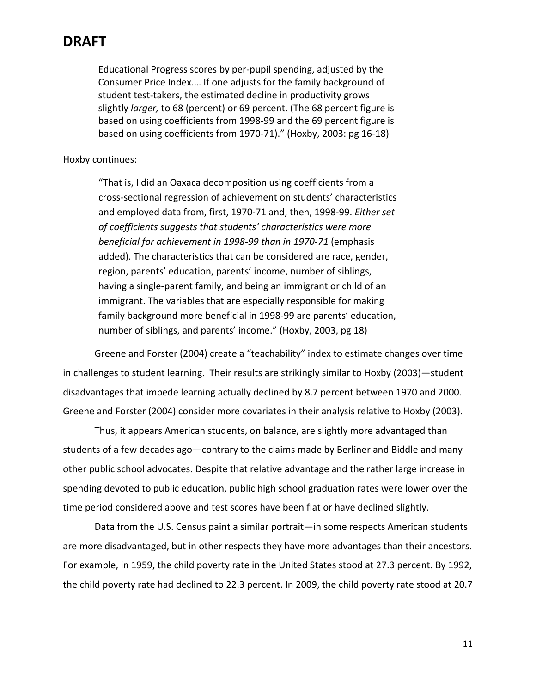Educational Progress scores by per-pupil spending, adjusted by the Consumer Price Index.… If one adjusts for the family background of student test-takers, the estimated decline in productivity grows slightly *larger,* to 68 (percent) or 69 percent. (The 68 percent figure is based on using coefficients from 1998-99 and the 69 percent figure is based on using coefficients from 1970-71)." (Hoxby, 2003: pg 16-18)

Hoxby continues:

"That is, I did an Oaxaca decomposition using coefficients from a cross-sectional regression of achievement on students' characteristics and employed data from, first, 1970-71 and, then, 1998-99. *Either set of coefficients suggests that students' characteristics were more beneficial for achievement in 1998-99 than in 1970-71* (emphasis added). The characteristics that can be considered are race, gender, region, parents' education, parents' income, number of siblings, having a single-parent family, and being an immigrant or child of an immigrant. The variables that are especially responsible for making family background more beneficial in 1998-99 are parents' education, number of siblings, and parents' income." (Hoxby, 2003, pg 18)

Greene and Forster (2004) create a "teachability" index to estimate changes over time in challenges to student learning. Their results are strikingly similar to Hoxby (2003)—student disadvantages that impede learning actually declined by 8.7 percent between 1970 and 2000. Greene and Forster (2004) consider more covariates in their analysis relative to Hoxby (2003).

Thus, it appears American students, on balance, are slightly more advantaged than students of a few decades ago—contrary to the claims made by Berliner and Biddle and many other public school advocates. Despite that relative advantage and the rather large increase in spending devoted to public education, public high school graduation rates were lower over the time period considered above and test scores have been flat or have declined slightly.

Data from the U.S. Census paint a similar portrait—in some respects American students are more disadvantaged, but in other respects they have more advantages than their ancestors. For example, in 1959, the child poverty rate in the United States stood at 27.3 percent. By 1992, the child poverty rate had declined to 22.3 percent. In 2009, the child poverty rate stood at 20.7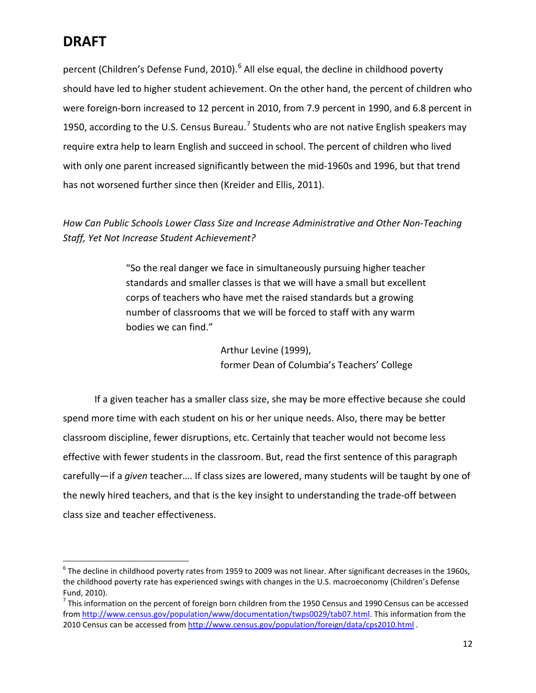percent (Children's Defense Fund, 2010).<sup>[6](#page-11-0)</sup> All else equal, the decline in childhood poverty should have led to higher student achievement. On the other hand, the percent of children who were foreign-born increased to 12 percent in 2010, from 7.9 percent in 1990, and 6.8 percent in 1950, according to the U.S. Census Bureau.<sup>[7](#page-11-1)</sup> Students who are not native English speakers may require extra help to learn English and succeed in school. The percent of children who lived with only one parent increased significantly between the mid-1960s and 1996, but that trend has not worsened further since then (Kreider and Ellis, 2011).

#### *How Can Public Schools Lower Class Size and Increase Administrative and Other Non-Teaching Staff, Yet Not Increase Student Achievement?*

"So the real danger we face in simultaneously pursuing higher teacher standards and smaller classes is that we will have a small but excellent corps of teachers who have met the raised standards but a growing number of classrooms that we will be forced to staff with any warm bodies we can find."

> Arthur Levine (1999), former Dean of Columbia's Teachers' College

If a given teacher has a smaller class size, she may be more effective because she could spend more time with each student on his or her unique needs. Also, there may be better classroom discipline, fewer disruptions, etc. Certainly that teacher would not become less effective with fewer students in the classroom. But, read the first sentence of this paragraph carefully—if a *given* teacher…. If class sizes are lowered, many students will be taught by one of the newly hired teachers, and that is the key insight to understanding the trade-off between class size and teacher effectiveness.

<span id="page-11-0"></span> $6$  The decline in childhood poverty rates from 1959 to 2009 was not linear. After significant decreases in the 1960s, the childhood poverty rate has experienced swings with changes in the U.S. macroeconomy (Children's Defense Fund, 2010).<br><sup>7</sup> This information on the percent of foreign born children from the 1950 Census and 1990 Census can be accessed

<span id="page-11-1"></span>from [http://www.census.gov/population/www/documentation/twps0029/tab07.html.](http://www.census.gov/population/www/documentation/twps0029/tab07.html) This information from the 2010 Census can be accessed from<http://www.census.gov/population/foreign/data/cps2010.html> .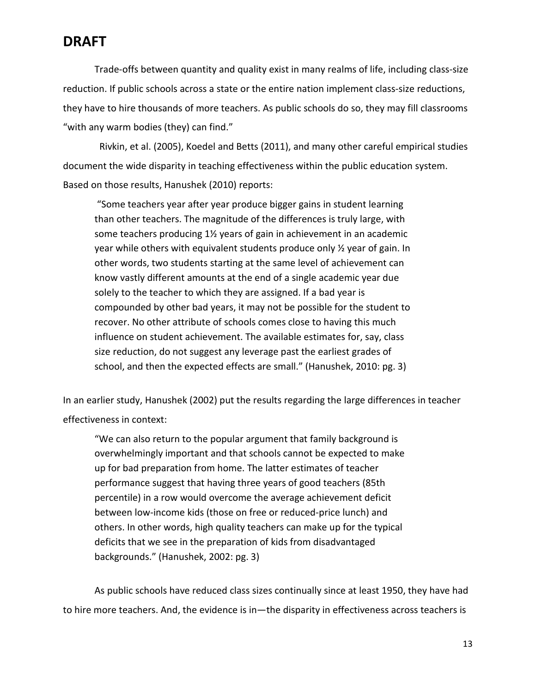Trade-offs between quantity and quality exist in many realms of life, including class-size reduction. If public schools across a state or the entire nation implement class-size reductions, they have to hire thousands of more teachers. As public schools do so, they may fill classrooms "with any warm bodies (they) can find."

 Rivkin, et al. (2005), Koedel and Betts (2011), and many other careful empirical studies document the wide disparity in teaching effectiveness within the public education system. Based on those results, Hanushek (2010) reports:

"Some teachers year after year produce bigger gains in student learning than other teachers. The magnitude of the differences is truly large, with some teachers producing 1½ years of gain in achievement in an academic year while others with equivalent students produce only ½ year of gain. In other words, two students starting at the same level of achievement can know vastly different amounts at the end of a single academic year due solely to the teacher to which they are assigned. If a bad year is compounded by other bad years, it may not be possible for the student to recover. No other attribute of schools comes close to having this much influence on student achievement. The available estimates for, say, class size reduction, do not suggest any leverage past the earliest grades of school, and then the expected effects are small." (Hanushek, 2010: pg. 3)

In an earlier study, Hanushek (2002) put the results regarding the large differences in teacher effectiveness in context:

"We can also return to the popular argument that family background is overwhelmingly important and that schools cannot be expected to make up for bad preparation from home. The latter estimates of teacher performance suggest that having three years of good teachers (85th percentile) in a row would overcome the average achievement deficit between low-income kids (those on free or reduced-price lunch) and others. In other words, high quality teachers can make up for the typical deficits that we see in the preparation of kids from disadvantaged backgrounds." (Hanushek, 2002: pg. 3)

As public schools have reduced class sizes continually since at least 1950, they have had to hire more teachers. And, the evidence is in—the disparity in effectiveness across teachers is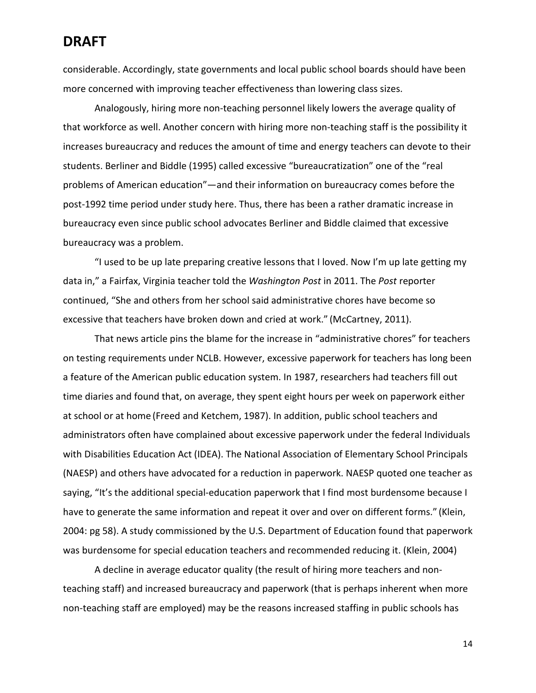considerable. Accordingly, state governments and local public school boards should have been more concerned with improving teacher effectiveness than lowering class sizes.

Analogously, hiring more non-teaching personnel likely lowers the average quality of that workforce as well. Another concern with hiring more non-teaching staff is the possibility it increases bureaucracy and reduces the amount of time and energy teachers can devote to their students. Berliner and Biddle (1995) called excessive "bureaucratization" one of the "real problems of American education"—and their information on bureaucracy comes before the post-1992 time period under study here. Thus, there has been a rather dramatic increase in bureaucracy even since public school advocates Berliner and Biddle claimed that excessive bureaucracy was a problem.

"I used to be up late preparing creative lessons that I loved. Now I'm up late getting my data in," a Fairfax, Virginia teacher told the *Washington Post* in 2011. The *Post* reporter continued, "She and others from her school said administrative chores have become so excessive that teachers have broken down and cried at work." (McCartney, 2011).

That news article pins the blame for the increase in "administrative chores" for teachers on testing requirements under NCLB. However, excessive paperwork for teachers has long been a feature of the American public education system. In 1987, researchers had teachers fill out time diaries and found that, on average, they spent eight hours per week on paperwork either at school or at home (Freed and Ketchem, 1987). In addition, public school teachers and administrators often have complained about excessive paperwork under the federal Individuals with Disabilities Education Act (IDEA). The National Association of Elementary School Principals (NAESP) and others have advocated for a reduction in paperwork. NAESP quoted one teacher as saying, "It's the additional special-education paperwork that I find most burdensome because I have to generate the same information and repeat it over and over on different forms." (Klein, 2004: pg 58). A study commissioned by the U.S. Department of Education found that paperwork was burdensome for special education teachers and recommended reducing it. (Klein, 2004)

A decline in average educator quality (the result of hiring more teachers and nonteaching staff) and increased bureaucracy and paperwork (that is perhaps inherent when more non-teaching staff are employed) may be the reasons increased staffing in public schools has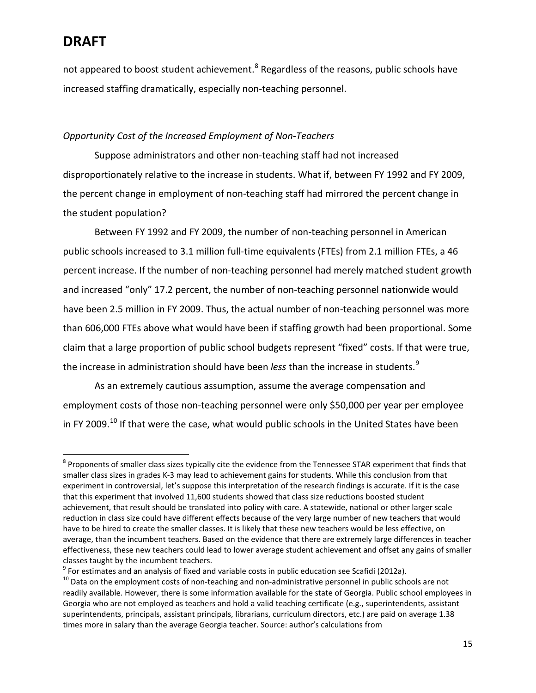not appeared to boost student achievement.<sup>[8](#page-14-0)</sup> Regardless of the reasons, public schools have increased staffing dramatically, especially non-teaching personnel.

#### *Opportunity Cost of the Increased Employment of Non-Teachers*

Suppose administrators and other non-teaching staff had not increased disproportionately relative to the increase in students. What if, between FY 1992 and FY 2009, the percent change in employment of non-teaching staff had mirrored the percent change in the student population?

Between FY 1992 and FY 2009, the number of non-teaching personnel in American public schools increased to 3.1 million full-time equivalents (FTEs) from 2.1 million FTEs, a 46 percent increase. If the number of non-teaching personnel had merely matched student growth and increased "only" 17.2 percent, the number of non-teaching personnel nationwide would have been 2.5 million in FY 2009. Thus, the actual number of non-teaching personnel was more than 606,000 FTEs above what would have been if staffing growth had been proportional. Some claim that a large proportion of public school budgets represent "fixed" costs. If that were true, the increase in administration should have been *less* than the increase in students.<sup>[9](#page-14-1)</sup>

As an extremely cautious assumption, assume the average compensation and employment costs of those non-teaching personnel were only \$50,000 per year per employee in FY 2009.<sup>[10](#page-14-2)</sup> If that were the case, what would public schools in the United States have been

<span id="page-14-0"></span><sup>&</sup>lt;sup>8</sup> Proponents of smaller class sizes typically cite the evidence from the Tennessee STAR experiment that finds that smaller class sizes in grades K-3 may lead to achievement gains for students. While this conclusion from that experiment in controversial, let's suppose this interpretation of the research findings is accurate. If it is the case that this experiment that involved 11,600 students showed that class size reductions boosted student achievement, that result should be translated into policy with care. A statewide, national or other larger scale reduction in class size could have different effects because of the very large number of new teachers that would have to be hired to create the smaller classes. It is likely that these new teachers would be less effective, on average, than the incumbent teachers. Based on the evidence that there are extremely large differences in teacher effectiveness, these new teachers could lead to lower average student achievement and offset any gains of smaller

<span id="page-14-1"></span>classes taught by the incumbent teachers.<br> $9$  For estimates and an analysis of fixed and variable costs in public education see Scafidi (2012a).

<span id="page-14-2"></span> $^{10}$  Data on the employment costs of non-teaching and non-administrative personnel in public schools are not readily available. However, there is some information available for the state of Georgia. Public school employees in Georgia who are not employed as teachers and hold a valid teaching certificate (e.g., superintendents, assistant superintendents, principals, assistant principals, librarians, curriculum directors, etc.) are paid on average 1.38 times more in salary than the average Georgia teacher. Source: author's calculations from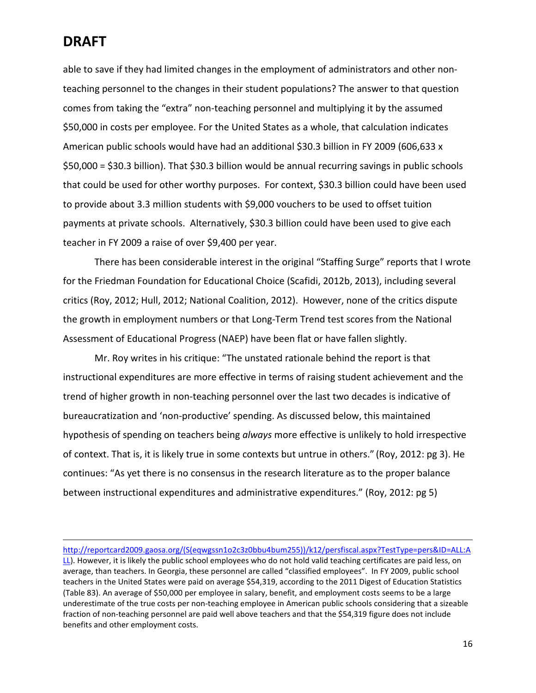l

able to save if they had limited changes in the employment of administrators and other nonteaching personnel to the changes in their student populations? The answer to that question comes from taking the "extra" non-teaching personnel and multiplying it by the assumed \$50,000 in costs per employee. For the United States as a whole, that calculation indicates American public schools would have had an additional \$30.3 billion in FY 2009 (606,633 x \$50,000 = \$30.3 billion). That \$30.3 billion would be annual recurring savings in public schools that could be used for other worthy purposes. For context, \$30.3 billion could have been used to provide about 3.3 million students with \$9,000 vouchers to be used to offset tuition payments at private schools. Alternatively, \$30.3 billion could have been used to give each teacher in FY 2009 a raise of over \$9,400 per year.

There has been considerable interest in the original "Staffing Surge" reports that I wrote for the Friedman Foundation for Educational Choice (Scafidi, 2012b, 2013), including several critics (Roy, 2012; Hull, 2012; National Coalition, 2012). However, none of the critics dispute the growth in employment numbers or that Long-Term Trend test scores from the National Assessment of Educational Progress (NAEP) have been flat or have fallen slightly.

Mr. Roy writes in his critique: "The unstated rationale behind the report is that instructional expenditures are more effective in terms of raising student achievement and the trend of higher growth in non-teaching personnel over the last two decades is indicative of bureaucratization and 'non-productive' spending. As discussed below, this maintained hypothesis of spending on teachers being *always* more effective is unlikely to hold irrespective of context. That is, it is likely true in some contexts but untrue in others." (Roy, 2012: pg 3). He continues: "As yet there is no consensus in the research literature as to the proper balance between instructional expenditures and administrative expenditures." (Roy, 2012: pg 5)

[http://reportcard2009.gaosa.org/\(S\(eqwgssn1o2c3z0bbu4bum255\)\)/k12/persfiscal.aspx?TestType=pers&ID=ALL:A](http://reportcard2009.gaosa.org/(S(eqwgssn1o2c3z0bbu4bum255))/k12/persfiscal.aspx?TestType=pers&ID=ALL:ALL) [LL\)](http://reportcard2009.gaosa.org/(S(eqwgssn1o2c3z0bbu4bum255))/k12/persfiscal.aspx?TestType=pers&ID=ALL:ALL). However, it is likely the public school employees who do not hold valid teaching certificates are paid less, on average, than teachers. In Georgia, these personnel are called "classified employees". In FY 2009, public school teachers in the United States were paid on average \$54,319, according to the 2011 Digest of Education Statistics (Table 83). An average of \$50,000 per employee in salary, benefit, and employment costs seems to be a large underestimate of the true costs per non-teaching employee in American public schools considering that a sizeable fraction of non-teaching personnel are paid well above teachers and that the \$54,319 figure does not include benefits and other employment costs.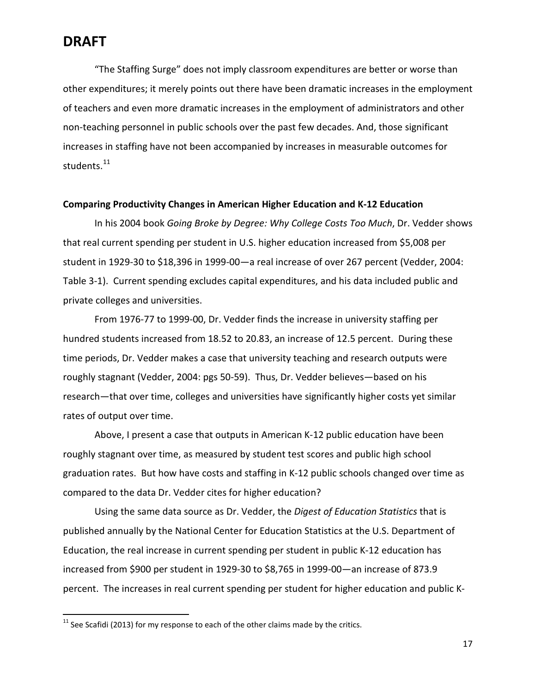"The Staffing Surge" does not imply classroom expenditures are better or worse than other expenditures; it merely points out there have been dramatic increases in the employment of teachers and even more dramatic increases in the employment of administrators and other non-teaching personnel in public schools over the past few decades. And, those significant increases in staffing have not been accompanied by increases in measurable outcomes for students.<sup>[11](#page-16-0)</sup>

#### **Comparing Productivity Changes in American Higher Education and K-12 Education**

In his 2004 book *Going Broke by Degree: Why College Costs Too Much*, Dr. Vedder shows that real current spending per student in U.S. higher education increased from \$5,008 per student in 1929-30 to \$18,396 in 1999-00—a real increase of over 267 percent (Vedder, 2004: Table 3-1). Current spending excludes capital expenditures, and his data included public and private colleges and universities.

From 1976-77 to 1999-00, Dr. Vedder finds the increase in university staffing per hundred students increased from 18.52 to 20.83, an increase of 12.5 percent. During these time periods, Dr. Vedder makes a case that university teaching and research outputs were roughly stagnant (Vedder, 2004: pgs 50-59). Thus, Dr. Vedder believes—based on his research—that over time, colleges and universities have significantly higher costs yet similar rates of output over time.

Above, I present a case that outputs in American K-12 public education have been roughly stagnant over time, as measured by student test scores and public high school graduation rates. But how have costs and staffing in K-12 public schools changed over time as compared to the data Dr. Vedder cites for higher education?

Using the same data source as Dr. Vedder, the *Digest of Education Statistics* that is published annually by the National Center for Education Statistics at the U.S. Department of Education, the real increase in current spending per student in public K-12 education has increased from \$900 per student in 1929-30 to \$8,765 in 1999-00—an increase of 873.9 percent. The increases in real current spending per student for higher education and public K-

<span id="page-16-0"></span> $11$  See Scafidi (2013) for my response to each of the other claims made by the critics.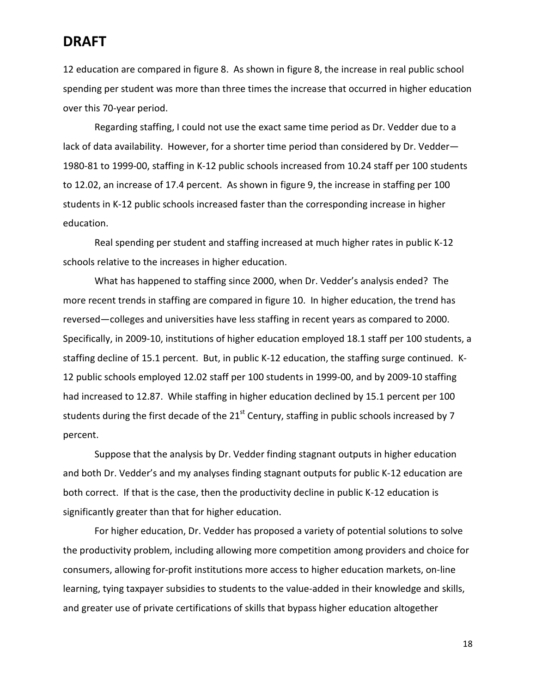12 education are compared in figure 8. As shown in figure 8, the increase in real public school spending per student was more than three times the increase that occurred in higher education over this 70-year period.

Regarding staffing, I could not use the exact same time period as Dr. Vedder due to a lack of data availability. However, for a shorter time period than considered by Dr. Vedder— 1980-81 to 1999-00, staffing in K-12 public schools increased from 10.24 staff per 100 students to 12.02, an increase of 17.4 percent. As shown in figure 9, the increase in staffing per 100 students in K-12 public schools increased faster than the corresponding increase in higher education.

Real spending per student and staffing increased at much higher rates in public K-12 schools relative to the increases in higher education.

What has happened to staffing since 2000, when Dr. Vedder's analysis ended? The more recent trends in staffing are compared in figure 10. In higher education, the trend has reversed—colleges and universities have less staffing in recent years as compared to 2000. Specifically, in 2009-10, institutions of higher education employed 18.1 staff per 100 students, a staffing decline of 15.1 percent. But, in public K-12 education, the staffing surge continued. K-12 public schools employed 12.02 staff per 100 students in 1999-00, and by 2009-10 staffing had increased to 12.87. While staffing in higher education declined by 15.1 percent per 100 students during the first decade of the  $21<sup>st</sup>$  Century, staffing in public schools increased by 7 percent.

Suppose that the analysis by Dr. Vedder finding stagnant outputs in higher education and both Dr. Vedder's and my analyses finding stagnant outputs for public K-12 education are both correct. If that is the case, then the productivity decline in public K-12 education is significantly greater than that for higher education.

For higher education, Dr. Vedder has proposed a variety of potential solutions to solve the productivity problem, including allowing more competition among providers and choice for consumers, allowing for-profit institutions more access to higher education markets, on-line learning, tying taxpayer subsidies to students to the value-added in their knowledge and skills, and greater use of private certifications of skills that bypass higher education altogether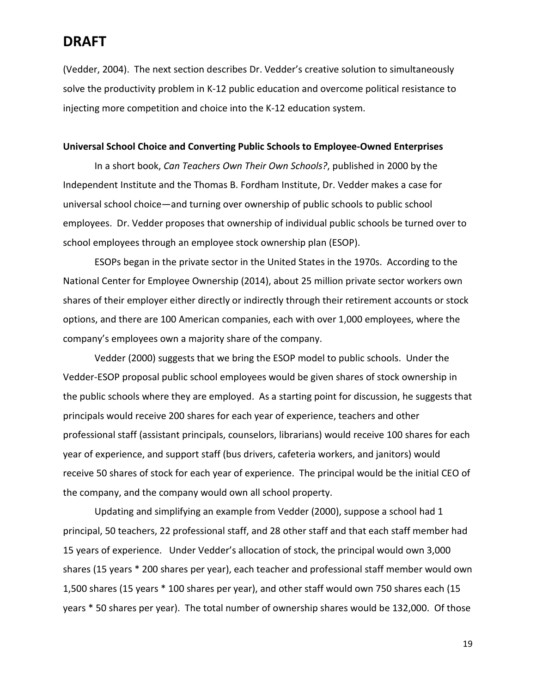(Vedder, 2004). The next section describes Dr. Vedder's creative solution to simultaneously solve the productivity problem in K-12 public education and overcome political resistance to injecting more competition and choice into the K-12 education system.

#### **Universal School Choice and Converting Public Schools to Employee-Owned Enterprises**

In a short book, *Can Teachers Own Their Own Schools?*, published in 2000 by the Independent Institute and the Thomas B. Fordham Institute, Dr. Vedder makes a case for universal school choice—and turning over ownership of public schools to public school employees. Dr. Vedder proposes that ownership of individual public schools be turned over to school employees through an employee stock ownership plan (ESOP).

ESOPs began in the private sector in the United States in the 1970s. According to the National Center for Employee Ownership (2014), about 25 million private sector workers own shares of their employer either directly or indirectly through their retirement accounts or stock options, and there are 100 American companies, each with over 1,000 employees, where the company's employees own a majority share of the company.

Vedder (2000) suggests that we bring the ESOP model to public schools. Under the Vedder-ESOP proposal public school employees would be given shares of stock ownership in the public schools where they are employed. As a starting point for discussion, he suggests that principals would receive 200 shares for each year of experience, teachers and other professional staff (assistant principals, counselors, librarians) would receive 100 shares for each year of experience, and support staff (bus drivers, cafeteria workers, and janitors) would receive 50 shares of stock for each year of experience. The principal would be the initial CEO of the company, and the company would own all school property.

Updating and simplifying an example from Vedder (2000), suppose a school had 1 principal, 50 teachers, 22 professional staff, and 28 other staff and that each staff member had 15 years of experience. Under Vedder's allocation of stock, the principal would own 3,000 shares (15 years \* 200 shares per year), each teacher and professional staff member would own 1,500 shares (15 years \* 100 shares per year), and other staff would own 750 shares each (15 years \* 50 shares per year). The total number of ownership shares would be 132,000. Of those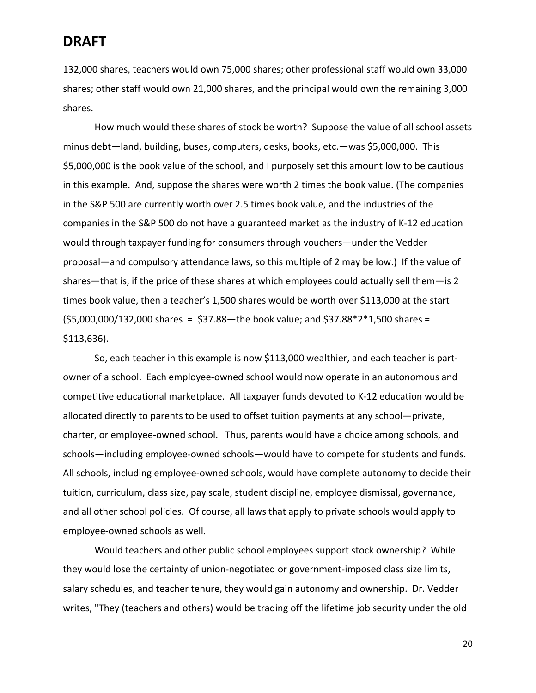132,000 shares, teachers would own 75,000 shares; other professional staff would own 33,000 shares; other staff would own 21,000 shares, and the principal would own the remaining 3,000 shares.

How much would these shares of stock be worth? Suppose the value of all school assets minus debt—land, building, buses, computers, desks, books, etc.—was \$5,000,000. This \$5,000,000 is the book value of the school, and I purposely set this amount low to be cautious in this example. And, suppose the shares were worth 2 times the book value. (The companies in the S&P 500 are currently worth over 2.5 times book value, and the industries of the companies in the S&P 500 do not have a guaranteed market as the industry of K-12 education would through taxpayer funding for consumers through vouchers—under the Vedder proposal—and compulsory attendance laws, so this multiple of 2 may be low.) If the value of shares—that is, if the price of these shares at which employees could actually sell them—is 2 times book value, then a teacher's 1,500 shares would be worth over \$113,000 at the start  $(55,000,000/132,000$  shares = \$37.88 - the book value; and \$37.88 \* 2 \* 1,500 shares = \$113,636).

So, each teacher in this example is now \$113,000 wealthier, and each teacher is partowner of a school. Each employee-owned school would now operate in an autonomous and competitive educational marketplace. All taxpayer funds devoted to K-12 education would be allocated directly to parents to be used to offset tuition payments at any school—private, charter, or employee-owned school. Thus, parents would have a choice among schools, and schools—including employee-owned schools—would have to compete for students and funds. All schools, including employee-owned schools, would have complete autonomy to decide their tuition, curriculum, class size, pay scale, student discipline, employee dismissal, governance, and all other school policies. Of course, all laws that apply to private schools would apply to employee-owned schools as well.

Would teachers and other public school employees support stock ownership? While they would lose the certainty of union-negotiated or government-imposed class size limits, salary schedules, and teacher tenure, they would gain autonomy and ownership. Dr. Vedder writes, "They (teachers and others) would be trading off the lifetime job security under the old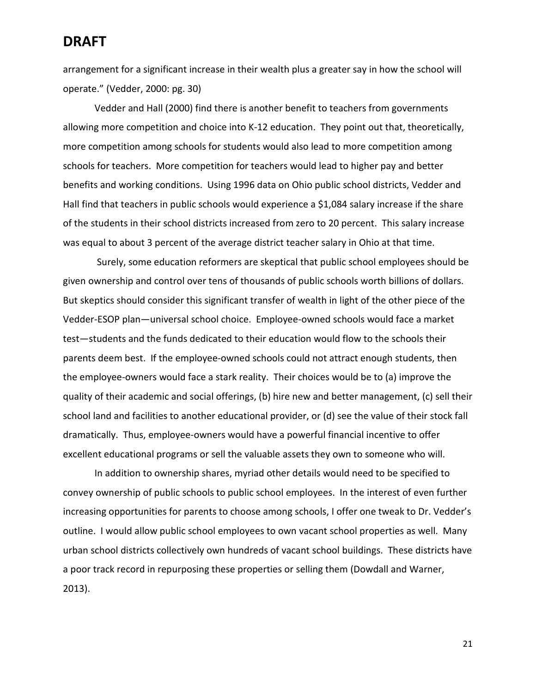arrangement for a significant increase in their wealth plus a greater say in how the school will operate." (Vedder, 2000: pg. 30)

Vedder and Hall (2000) find there is another benefit to teachers from governments allowing more competition and choice into K-12 education. They point out that, theoretically, more competition among schools for students would also lead to more competition among schools for teachers. More competition for teachers would lead to higher pay and better benefits and working conditions. Using 1996 data on Ohio public school districts, Vedder and Hall find that teachers in public schools would experience a \$1,084 salary increase if the share of the students in their school districts increased from zero to 20 percent. This salary increase was equal to about 3 percent of the average district teacher salary in Ohio at that time.

Surely, some education reformers are skeptical that public school employees should be given ownership and control over tens of thousands of public schools worth billions of dollars. But skeptics should consider this significant transfer of wealth in light of the other piece of the Vedder-ESOP plan—universal school choice. Employee-owned schools would face a market test—students and the funds dedicated to their education would flow to the schools their parents deem best. If the employee-owned schools could not attract enough students, then the employee-owners would face a stark reality. Their choices would be to (a) improve the quality of their academic and social offerings, (b) hire new and better management, (c) sell their school land and facilities to another educational provider, or (d) see the value of their stock fall dramatically. Thus, employee-owners would have a powerful financial incentive to offer excellent educational programs or sell the valuable assets they own to someone who will.

In addition to ownership shares, myriad other details would need to be specified to convey ownership of public schools to public school employees. In the interest of even further increasing opportunities for parents to choose among schools, I offer one tweak to Dr. Vedder's outline. I would allow public school employees to own vacant school properties as well. Many urban school districts collectively own hundreds of vacant school buildings. These districts have a poor track record in repurposing these properties or selling them (Dowdall and Warner, 2013).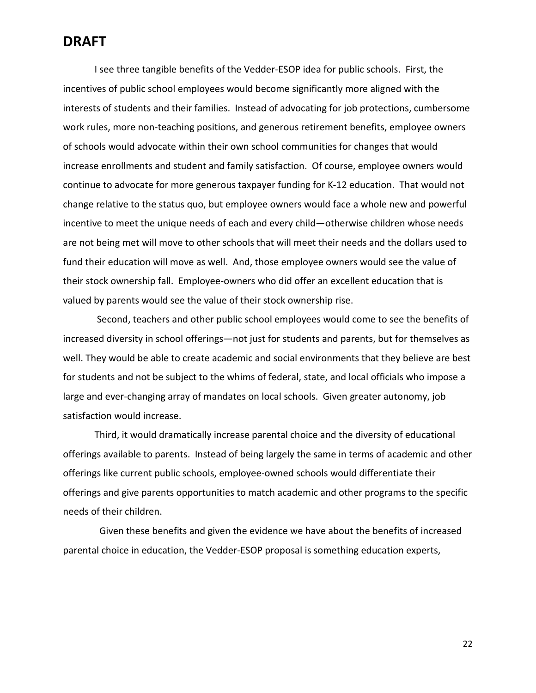I see three tangible benefits of the Vedder-ESOP idea for public schools. First, the incentives of public school employees would become significantly more aligned with the interests of students and their families. Instead of advocating for job protections, cumbersome work rules, more non-teaching positions, and generous retirement benefits, employee owners of schools would advocate within their own school communities for changes that would increase enrollments and student and family satisfaction. Of course, employee owners would continue to advocate for more generous taxpayer funding for K-12 education. That would not change relative to the status quo, but employee owners would face a whole new and powerful incentive to meet the unique needs of each and every child—otherwise children whose needs are not being met will move to other schools that will meet their needs and the dollars used to fund their education will move as well. And, those employee owners would see the value of their stock ownership fall. Employee-owners who did offer an excellent education that is valued by parents would see the value of their stock ownership rise.

Second, teachers and other public school employees would come to see the benefits of increased diversity in school offerings—not just for students and parents, but for themselves as well. They would be able to create academic and social environments that they believe are best for students and not be subject to the whims of federal, state, and local officials who impose a large and ever-changing array of mandates on local schools. Given greater autonomy, job satisfaction would increase.

Third, it would dramatically increase parental choice and the diversity of educational offerings available to parents. Instead of being largely the same in terms of academic and other offerings like current public schools, employee-owned schools would differentiate their offerings and give parents opportunities to match academic and other programs to the specific needs of their children.

 Given these benefits and given the evidence we have about the benefits of increased parental choice in education, the Vedder-ESOP proposal is something education experts,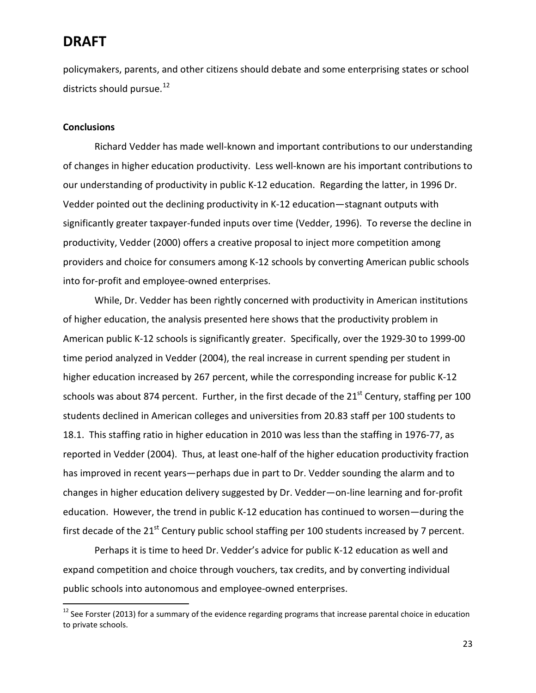policymakers, parents, and other citizens should debate and some enterprising states or school districts should pursue.<sup>[12](#page-22-0)</sup>

#### **Conclusions**

Richard Vedder has made well-known and important contributions to our understanding of changes in higher education productivity. Less well-known are his important contributions to our understanding of productivity in public K-12 education. Regarding the latter, in 1996 Dr. Vedder pointed out the declining productivity in K-12 education—stagnant outputs with significantly greater taxpayer-funded inputs over time (Vedder, 1996). To reverse the decline in productivity, Vedder (2000) offers a creative proposal to inject more competition among providers and choice for consumers among K-12 schools by converting American public schools into for-profit and employee-owned enterprises.

While, Dr. Vedder has been rightly concerned with productivity in American institutions of higher education, the analysis presented here shows that the productivity problem in American public K-12 schools is significantly greater. Specifically, over the 1929-30 to 1999-00 time period analyzed in Vedder (2004), the real increase in current spending per student in higher education increased by 267 percent, while the corresponding increase for public K-12 schools was about 874 percent. Further, in the first decade of the  $21<sup>st</sup>$  Century, staffing per 100 students declined in American colleges and universities from 20.83 staff per 100 students to 18.1. This staffing ratio in higher education in 2010 was less than the staffing in 1976-77, as reported in Vedder (2004). Thus, at least one-half of the higher education productivity fraction has improved in recent years—perhaps due in part to Dr. Vedder sounding the alarm and to changes in higher education delivery suggested by Dr. Vedder—on-line learning and for-profit education. However, the trend in public K-12 education has continued to worsen—during the first decade of the 21<sup>st</sup> Century public school staffing per 100 students increased by 7 percent.

Perhaps it is time to heed Dr. Vedder's advice for public K-12 education as well and expand competition and choice through vouchers, tax credits, and by converting individual public schools into autonomous and employee-owned enterprises.

<span id="page-22-0"></span><sup>&</sup>lt;sup>12</sup> See Forster (2013) for a summary of the evidence regarding programs that increase parental choice in education to private schools.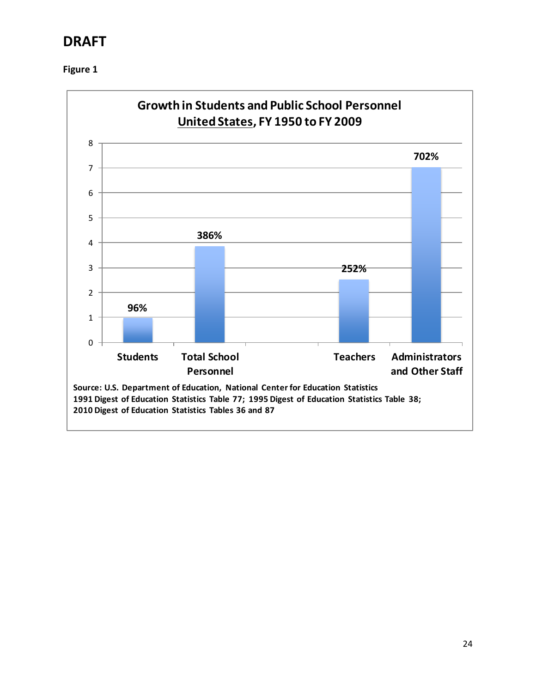

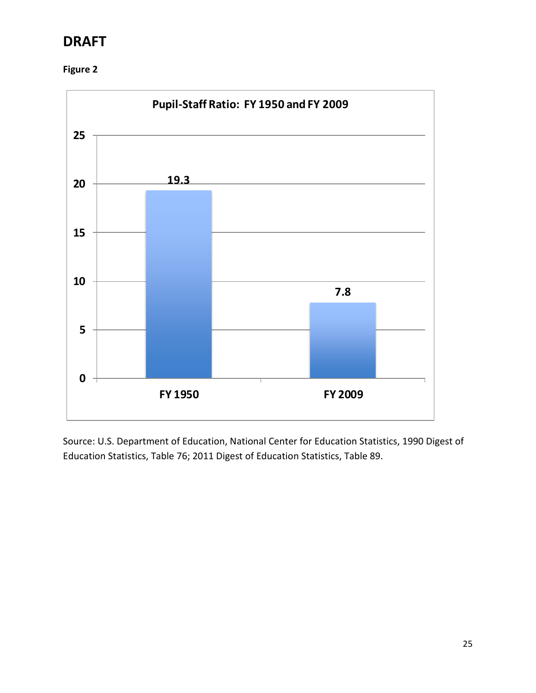



Source: U.S. Department of Education, National Center for Education Statistics, 1990 Digest of Education Statistics, Table 76; 2011 Digest of Education Statistics, Table 89.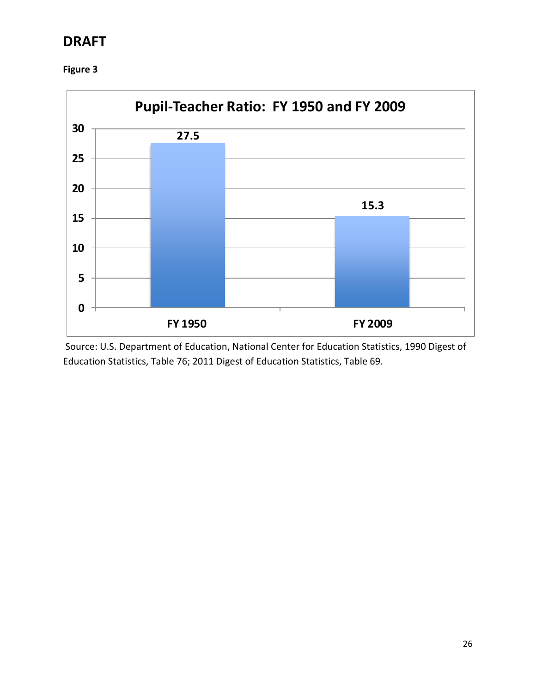**Figure 3**



Source: U.S. Department of Education, National Center for Education Statistics, 1990 Digest of Education Statistics, Table 76; 2011 Digest of Education Statistics, Table 69.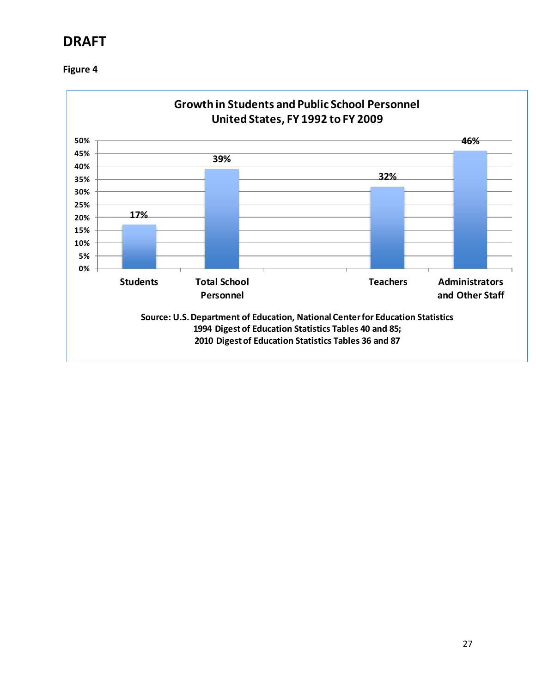

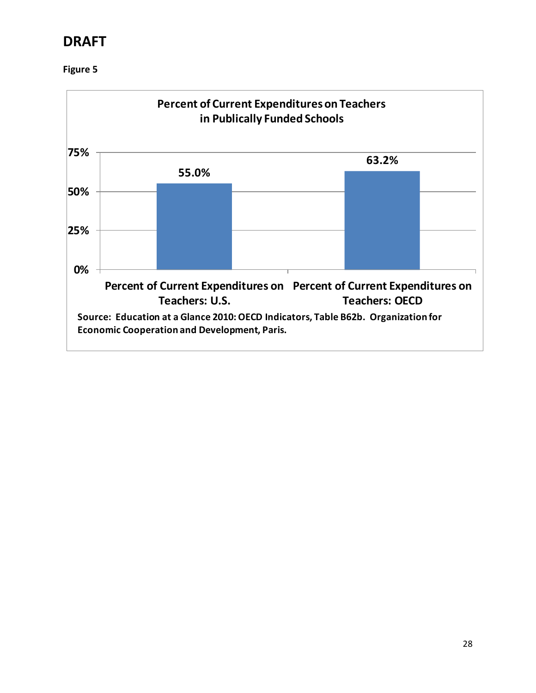

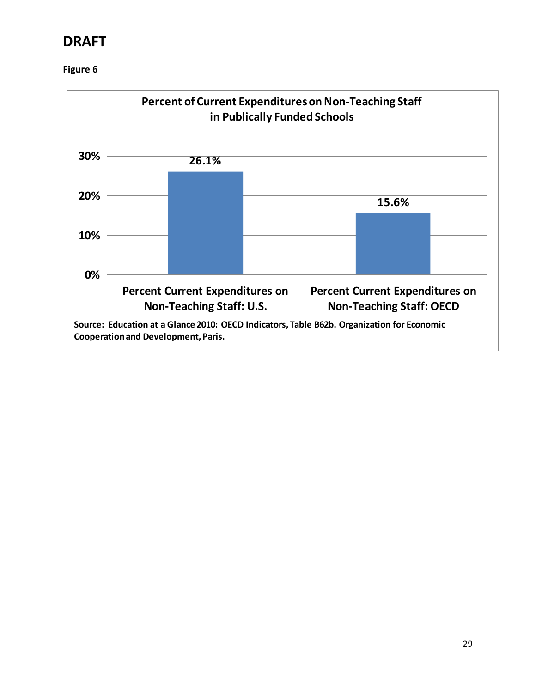

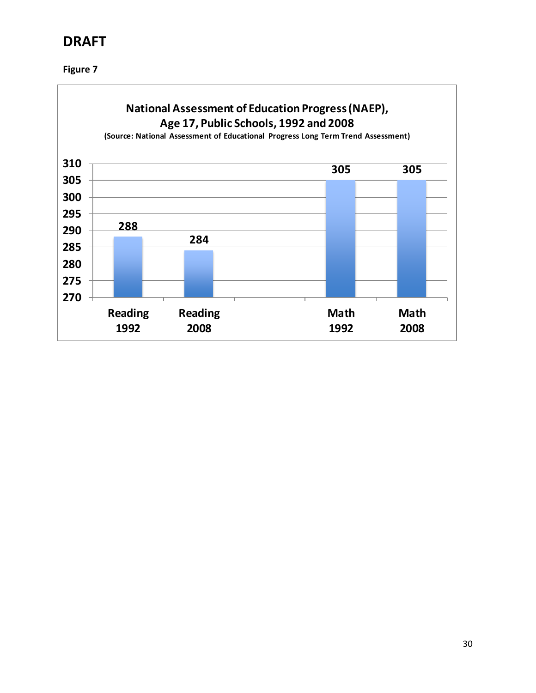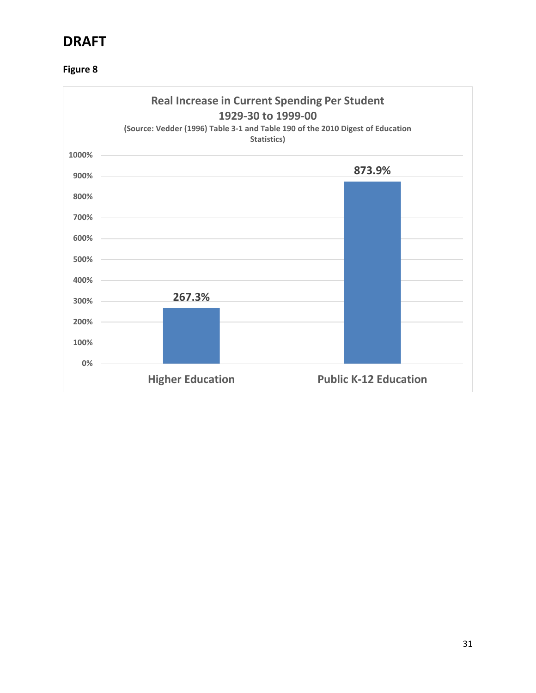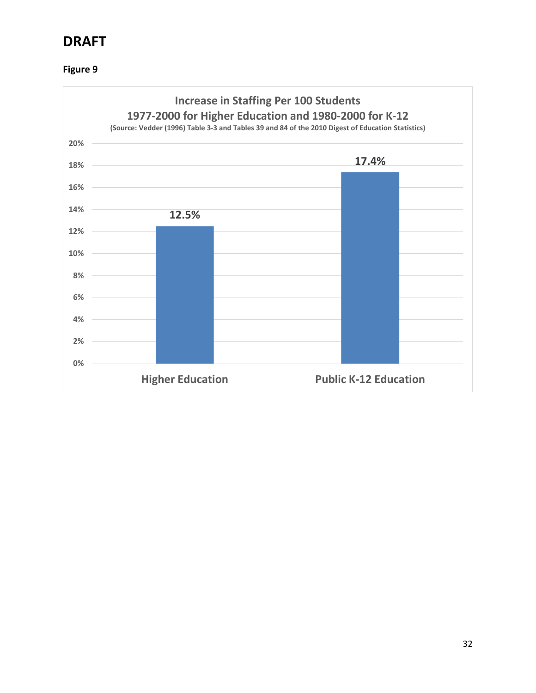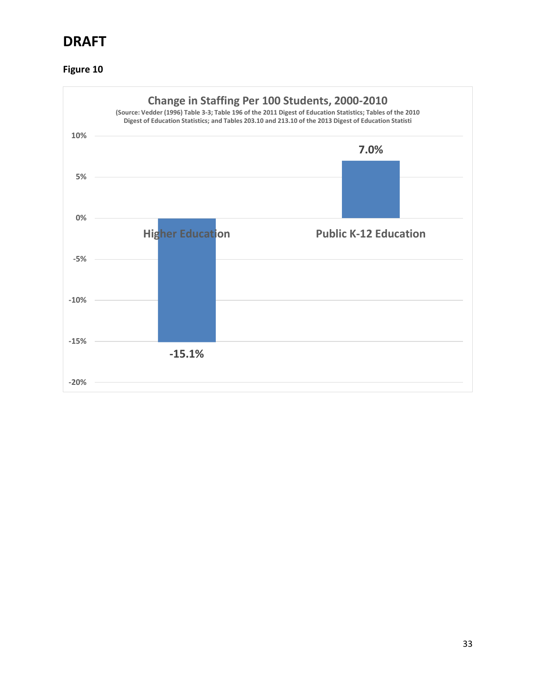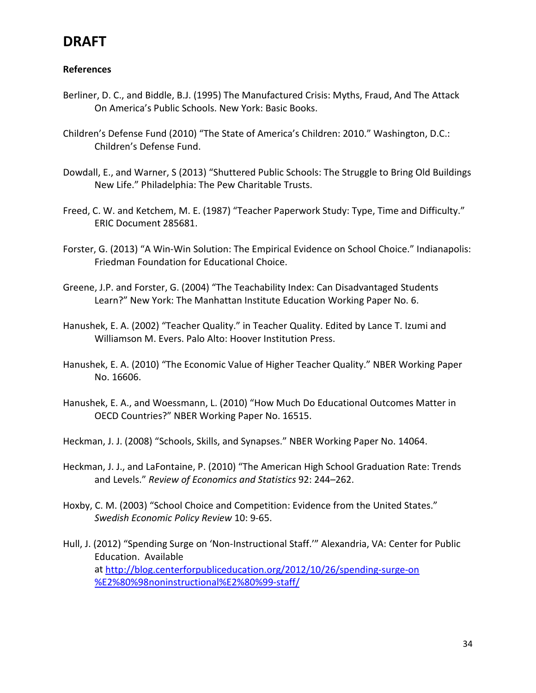#### **References**

- Berliner, D. C., and Biddle, B.J. (1995) The Manufactured Crisis: Myths, Fraud, And The Attack On America's Public Schools. New York: Basic Books.
- Children's Defense Fund (2010) "The State of America's Children: 2010." Washington, D.C.: Children's Defense Fund.
- Dowdall, E., and Warner, S (2013) "Shuttered Public Schools: The Struggle to Bring Old Buildings New Life." Philadelphia: The Pew Charitable Trusts.
- Freed, C. W. and Ketchem, M. E. (1987) "Teacher Paperwork Study: Type, Time and Difficulty." ERIC Document 285681.
- Forster, G. (2013) "A Win-Win Solution: The Empirical Evidence on School Choice." Indianapolis: Friedman Foundation for Educational Choice.
- Greene, J.P. and Forster, G. (2004) "The Teachability Index: Can Disadvantaged Students Learn?" New York: The Manhattan Institute Education Working Paper No. 6.
- Hanushek, E. A. (2002) "Teacher Quality." in Teacher Quality. Edited by Lance T. Izumi and Williamson M. Evers. Palo Alto: Hoover Institution Press.
- Hanushek, E. A. (2010) "The Economic Value of Higher Teacher Quality." NBER Working Paper No. 16606.
- Hanushek, E. A., and Woessmann, L. (2010) "How Much Do Educational Outcomes Matter in OECD Countries?" NBER Working Paper No. 16515.
- Heckman, J. J. (2008) "Schools, Skills, and Synapses." NBER Working Paper No. 14064.
- Heckman, J. J., and LaFontaine, P. (2010) "The American High School Graduation Rate: Trends and Levels." *Review of Economics and Statistics* 92: 244–262.
- Hoxby, C. M. (2003) "School Choice and Competition: Evidence from the United States." *Swedish Economic Policy Review* 10: 9-65.
- Hull, J. (2012) "Spending Surge on 'Non-Instructional Staff.'" Alexandria, VA: Center for Public Education. Available at [http://blog.centerforpubliceducation.org/2012/10/26/spending-surge-on](http://blog.centerforpubliceducation.org/2012/10/26/spending-surge-on%20%E2%80%98noninstructional%E2%80%99-staff/)  [%E2%80%98noninstructional%E2%80%99-staff/](http://blog.centerforpubliceducation.org/2012/10/26/spending-surge-on%20%E2%80%98noninstructional%E2%80%99-staff/)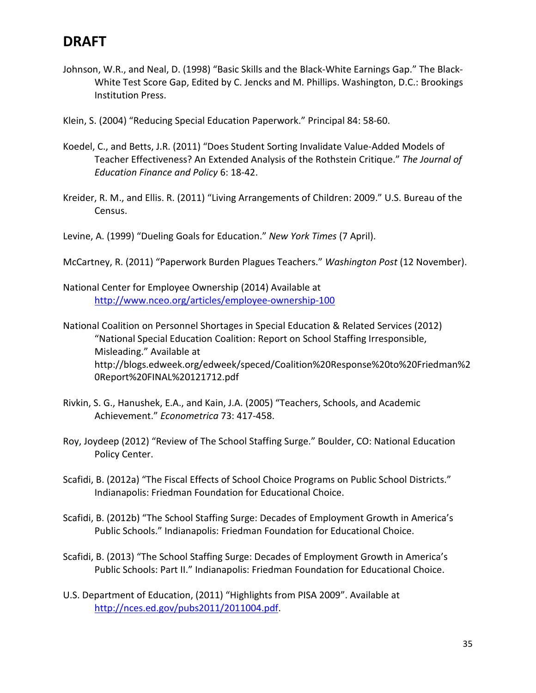Johnson, W.R., and Neal, D. (1998) "Basic Skills and the Black-White Earnings Gap." The Black-White Test Score Gap, Edited by C. Jencks and M. Phillips. Washington, D.C.: Brookings Institution Press.

Klein, S. (2004) "Reducing Special Education Paperwork." Principal 84: 58-60.

- Koedel, C., and Betts, J.R. (2011) "Does Student Sorting Invalidate Value-Added Models of Teacher Effectiveness? An Extended Analysis of the Rothstein Critique." *The Journal of Education Finance and Policy* 6: 18-42.
- Kreider, R. M., and Ellis. R. (2011) "Living Arrangements of Children: 2009." U.S. Bureau of the Census.

Levine, A. (1999) "Dueling Goals for Education." *New York Times* (7 April).

- McCartney, R. (2011) "Paperwork Burden Plagues Teachers." *Washington Post* (12 November).
- National Center for Employee Ownership (2014) Available at <http://www.nceo.org/articles/employee-ownership-100>

National Coalition on Personnel Shortages in Special Education & Related Services (2012) "National Special Education Coalition: Report on School Staffing Irresponsible, Misleading." Available at http://blogs.edweek.org/edweek/speced/Coalition%20Response%20to%20Friedman%2 0Report%20FINAL%20121712.pdf

- Rivkin, S. G., Hanushek, E.A., and Kain, J.A. (2005) "Teachers, Schools, and Academic Achievement." *Econometrica* 73: 417-458.
- Roy, Joydeep (2012) "Review of The School Staffing Surge." Boulder, CO: National Education Policy Center.
- Scafidi, B. (2012a) "The Fiscal Effects of School Choice Programs on Public School Districts." Indianapolis: Friedman Foundation for Educational Choice.
- Scafidi, B. (2012b) "The School Staffing Surge: Decades of Employment Growth in America's Public Schools." Indianapolis: Friedman Foundation for Educational Choice.
- Scafidi, B. (2013) "The School Staffing Surge: Decades of Employment Growth in America's Public Schools: Part II." Indianapolis: Friedman Foundation for Educational Choice.
- U.S. Department of Education, (2011) "Highlights from PISA 2009". Available at [http://nces.ed.gov/pubs2011/2011004.pdf.](http://nces.ed.gov/pubs2011/2011004.pdf)